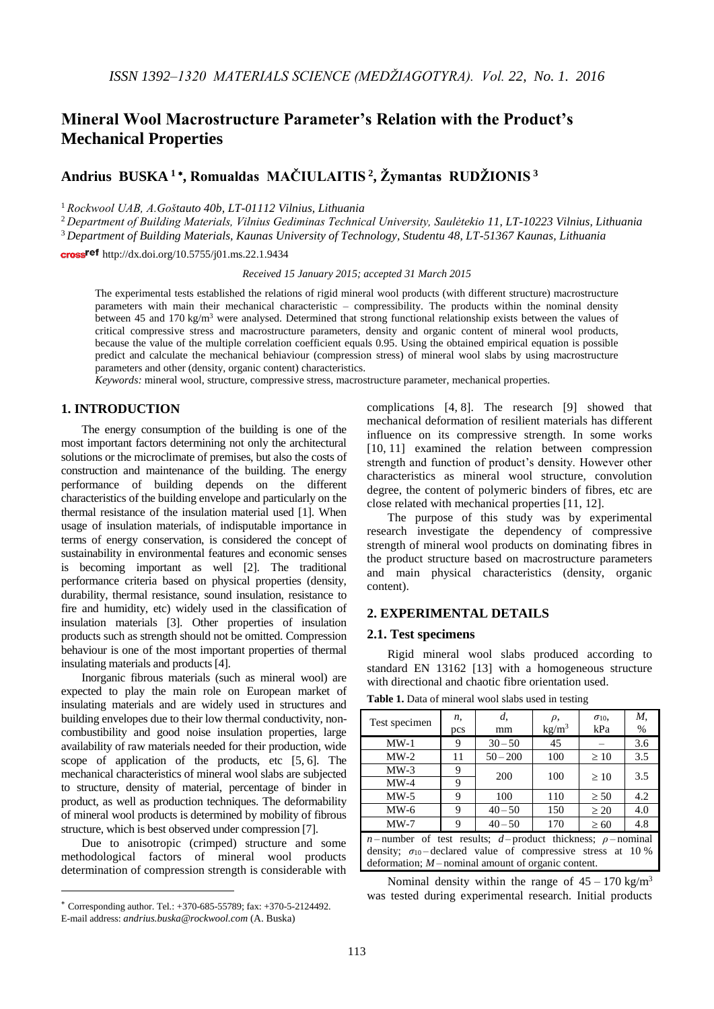# **Mineral Wool Macrostructure Parameter's Relation with the Product's Mechanical Properties**

## **Andrius BUSKA <sup>1</sup> , Romualdas MAČIULAITIS <sup>2</sup> , Žymantas RUDŽIONIS <sup>3</sup>**

<sup>1</sup> *Rockwool UAB, A.Goštauto 40b, LT-01112 Vilnius, Lithuania*

<sup>2</sup> *Department of Building Materials, Vilnius Gediminas Technical University, Saulėtekio 11, LT-10223 Vilnius, Lithuania*

<sup>3</sup> *Department of Building Materials, Kaunas University of Technology, Studentu 48, LT-51367 Kaunas, Lithuania*

cross<sup>ref</sup> <http://dx.doi.org/10.5755/j01.ms.22.1.9434>

*Received 15 January 2015; accepted 31 March 2015*

The experimental tests established the relations of rigid mineral wool products (with different structure) macrostructure parameters with main their mechanical characteristic – compressibility. The products within the nominal density between 45 and 170 kg/m<sup>3</sup> were analysed. Determined that strong functional relationship exists between the values of critical compressive stress and macrostructure parameters, density and organic content of mineral wool products, because the value of the multiple correlation coefficient equals 0.95. Using the obtained empirical equation is possible predict and calculate the mechanical behiaviour (compression stress) of mineral wool slabs by using macrostructure parameters and other (density, organic content) characteristics.

*Keywords:* mineral wool, structure, compressive stress, macrostructure parameter, mechanical properties.

### **1. INTRODUCTION**

The energy consumption of the building is one of the most important factors determining not only the architectural solutions or the microclimate of premises, but also the costs of construction and maintenance of the building. The energy performance of building depends on the different characteristics of the building envelope and particularly on the thermal resistance of the insulation material used [1]. When usage of insulation materials, of indisputable importance in terms of energy conservation, is considered the concept of sustainability in environmental features and economic senses is becoming important as well [2]. The traditional performance criteria based on physical properties (density, durability, thermal resistance, sound insulation, resistance to fire and humidity, etc) widely used in the classification of insulation materials [3]. Other properties of insulation products such as strength should not be omitted. Compression behaviour is one of the most important properties of thermal insulating materials and products [4].

Inorganic fibrous materials (such as mineral wool) are expected to play the main role on European market of insulating materials and are widely used in structures and building envelopes due to their low thermal conductivity, noncombustibility and good noise insulation properties, large availability of raw materials needed for their production, wide scope of application of the products, etc  $[5, 6]$ . The mechanical characteristics of mineral wool slabs are subjected to structure, density of material, percentage of binder in product, as well as production techniques. The deformability of mineral wool products is determined by mobility of fibrous structure, which is best observed under compression [7].

Due to anisotropic (crimped) structure and some methodological factors of mineral wool products determination of compression strength is considerable with

1

complications [4, 8]. The research [9] showed that mechanical deformation of resilient materials has different influence on its compressive strength. In some works [10, 11] examined the relation between compression strength and function of product's density. However other characteristics as mineral wool structure, convolution degree, the content of polymeric binders of fibres, etc are close related with mechanical properties [11, 12].

The purpose of this study was by experimental research investigate the dependency of compressive strength of mineral wool products on dominating fibres in the product structure based on macrostructure parameters and main physical characteristics (density, organic content).

## **2. EXPERIMENTAL DETAILS**

#### **2.1. Test specimens**

Rigid mineral wool slabs produced according to standard EN 13162 [13] with a homogeneous structure with directional and chaotic fibre orientation used.

Test specimen  $\left| \right|$  *n*, pcs *d*, mm *ρ*,  $kg/m^3$ *σ*10, kPa *M*,  $\%$ MW-1 9 30-50 45 - 3.6 MW-2 11  $50-200$  100  $\geq 10$  3.5  $MW-3$  9  $\begin{array}{|c|c|c|c|c|c|c|c|} \hline \text{MW-4} & 9 & 200 & 100 & \geq 10 & 3.5 \ \hline \end{array}$ MW-5 9 100 110  $\geq 50$  4.2 MW-6 9 40 – 50 150  $\geq 20$  4.0 MW-7 9 40 – 50 170  $\geq 60$  4.8 *n* – number of test results; *d* – product thickness; *ρ* – nominal density;  $\sigma_{10}$ -declared value of compressive stress at 10 % deformation; *M* – nominal amount of organic content.

**Table 1.** Data of mineral wool slabs used in testing

Nominal density within the range of  $45 - 170 \text{ kg/m}^3$ was tested during experimental research. Initial products

Corresponding author. Tel.: +370-685-55789; fax: +370-5-2124492. E-mail address: *[andrius.buska@rockwool.com](mailto:andrius.buska@rockwool.com)* (A. Buska)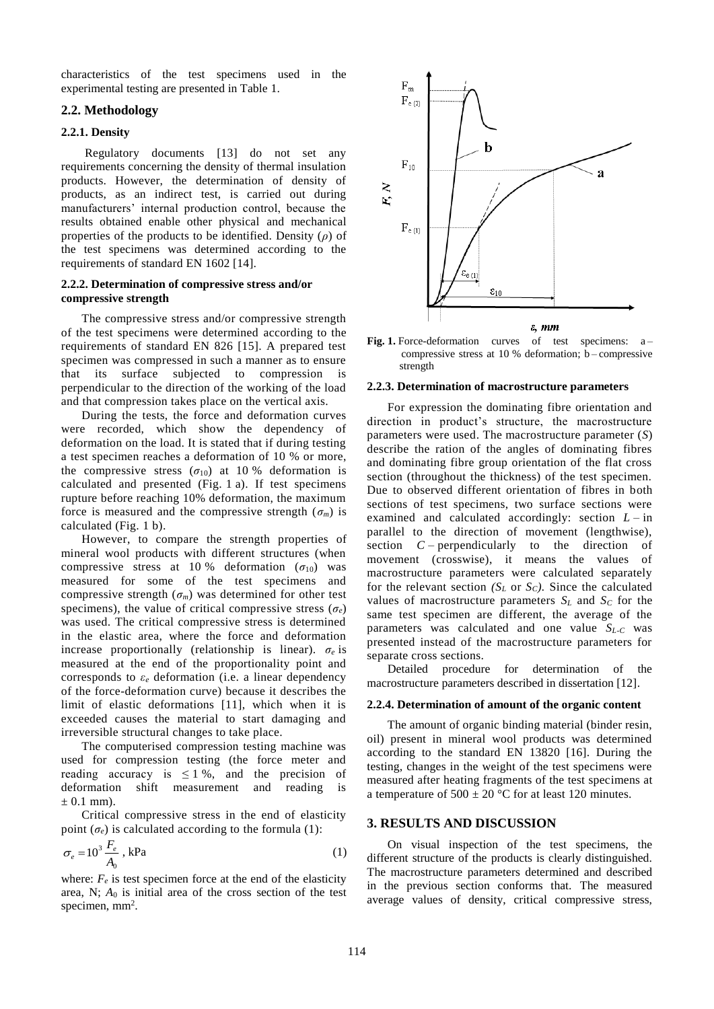characteristics of the test specimens used in the experimental testing are presented in Table 1.

## **2.2. Methodology**

#### **2.2.1. Density**

Regulatory documents [13] do not set any requirements concerning the density of thermal insulation products. However, the determination of density of products, as an indirect test, is carried out during manufacturers' internal production control, because the results obtained enable other physical and mechanical properties of the products to be identified. Density (*ρ*) of the test specimens was determined according to the requirements of standard EN 1602 [14].

#### **2.2.2. Determination of compressive stress and/or compressive strength**

The compressive stress and/or compressive strength of the test specimens were determined according to the requirements of standard EN 826 [15]. A prepared test specimen was compressed in such a manner as to ensure that its surface subjected to compression is perpendicular to the direction of the working of the load and that compression takes place on the vertical axis.

During the tests, the force and deformation curves were recorded, which show the dependency of deformation on the load. It is stated that if during testing a test specimen reaches a deformation of 10 % or more, the compressive stress  $(\sigma_{10})$  at 10 % deformation is calculated and presented (Fig. 1 a). If test specimens rupture before reaching 10% deformation, the maximum force is measured and the compressive strength  $(\sigma_m)$  is calculated (Fig. 1 b).

However, to compare the strength properties of mineral wool products with different structures (when compressive stress at 10 % deformation  $(\sigma_{10})$  was measured for some of the test specimens and compressive strength  $(\sigma_m)$  was determined for other test specimens), the value of critical compressive stress ( $\sigma_e$ ) was used. The critical compressive stress is determined in the elastic area, where the force and deformation increase proportionally (relationship is linear).  $\sigma_e$  is measured at the end of the proportionality point and corresponds to *ε<sup>e</sup>* deformation (i.e. a linear dependency of the force-deformation curve) because it describes the limit of elastic deformations [11], which when it is exceeded causes the material to start damaging and irreversible structural changes to take place.

The computerised compression testing machine was used for compression testing (the force meter and reading accuracy is  $\leq 1$ %, and the precision of deformation shift measurement and reading is  $\pm$  0.1 mm).

Critical compressive stress in the end of elasticity point  $(\sigma_e)$  is calculated according to the formula (1):

$$
\sigma_e = 10^3 \frac{F_e}{A_0}, \text{ kPa} \tag{1}
$$

where:  $F_e$  is test specimen force at the end of the elasticity area, N; *A*<sup>0</sup> is initial area of the cross section of the test specimen,  $mm<sup>2</sup>$ .





#### **2.2.3. Determination of macrostructure parameters**

For expression the dominating fibre orientation and direction in product's structure, the macrostructure parameters were used. The macrostructure parameter (*S*) describe the ration of the angles of dominating fibres and dominating fibre group orientation of the flat cross section (throughout the thickness) of the test specimen. Due to observed different orientation of fibres in both sections of test specimens, two surface sections were examined and calculated accordingly: section  $L - in$ parallel to the direction of movement (lengthwise), section *C* – perpendicularly to the direction of movement (crosswise), it means the values of macrostructure parameters were calculated separately for the relevant section  $(S_L \text{ or } S_C)$ . Since the calculated values of macrostructure parameters  $S_L$  and  $S_C$  for the same test specimen are different, the average of the parameters was calculated and one value *SL-C* was presented instead of the macrostructure parameters for separate cross sections.

Detailed procedure for determination of the macrostructure parameters described in dissertation [12].

#### **2.2.4. Determination of amount of the organic content**

The amount of organic binding material (binder resin, oil) present in mineral wool products was determined according to the standard EN 13820 [16]. During the testing, changes in the weight of the test specimens were measured after heating fragments of the test specimens at a temperature of  $500 \pm 20$  °C for at least 120 minutes.

#### **3. RESULTS AND DISCUSSION**

On visual inspection of the test specimens, the different structure of the products is clearly distinguished. The macrostructure parameters determined and described in the previous section conforms that. The measured average values of density, critical compressive stress,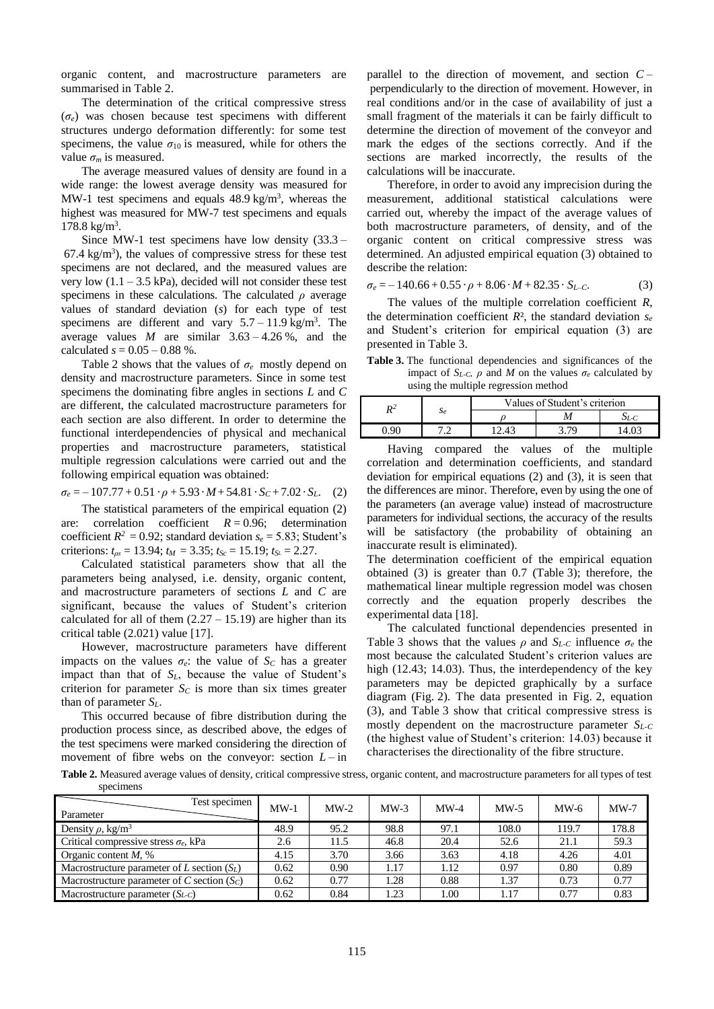organic content, and macrostructure parameters are summarised in Table 2.

The determination of the critical compressive stress (*σe*) was chosen because test specimens with different structures undergo deformation differently: for some test specimens, the value  $\sigma_{10}$  is measured, while for others the value  $\sigma_m$  is measured.

The average measured values of density are found in a wide range: the lowest average density was measured for MW-1 test specimens and equals  $48.9 \text{ kg/m}^3$ , whereas the highest was measured for MW-7 test specimens and equals 178.8 kg/m<sup>3</sup> .

Since MW-1 test specimens have low density (33.3 –  $67.4 \text{ kg/m}^3$ ), the values of compressive stress for these test specimens are not declared, and the measured values are very low  $(1.1 - 3.5 \text{ kPa})$ , decided will not consider these test specimens in these calculations. The calculated  $\rho$  average values of standard deviation (*s*) for each type of test specimens are different and vary  $5.7 - 11.9$  kg/m<sup>3</sup>. The average values *M* are similar  $3.63 - 4.26$  %, and the calculated  $s = 0.05 - 0.88$  %.

Table 2 shows that the values of *σe* mostly depend on density and macrostructure parameters. Since in some test specimens the dominating fibre angles in sections *L* and *C* are different, the calculated macrostructure parameters for each section are also different. In order to determine the functional interdependencies of physical and mechanical properties and macrostructure parameters, statistical multiple regression calculations were carried out and the following empirical equation was obtained:

$$
\sigma_e = -107.77 + 0.51 \cdot \rho + 5.93 \cdot M + 54.81 \cdot S_c + 7.02 \cdot S_L. \quad (2)
$$

The statistical parameters of the empirical equation (2) are: correlation coefficient  $R = 0.96$ ; determination coefficient  $R^2 = 0.92$ ; standard deviation  $s_e = 5.83$ ; Student's criterions:  $t_{\text{as}} = 13.94$ ;  $t_{\text{M}} = 3.35$ ;  $t_{\text{Sc}} = 15.19$ ;  $t_{\text{SL}} = 2.27$ .

Calculated statistical parameters show that all the parameters being analysed, i.e. density, organic content, and macrostructure parameters of sections *L* and *C* are significant, because the values of Student's criterion calculated for all of them  $(2.27 – 15.19)$  are higher than its critical table (2.021) value [17].

However, macrostructure parameters have different impacts on the values  $\sigma_e$ : the value of  $S_c$  has a greater impact than that of *SL*, because the value of Student's criterion for parameter  $S_C$  is more than six times greater than of parameter  $S_L$ .

This occurred because of fibre distribution during the production process since, as described above, the edges of the test specimens were marked considering the direction of movement of fibre webs on the conveyor: section  $L - in$  parallel to the direction of movement, and section *C* – perpendicularly to the direction of movement. However, in real conditions and/or in the case of availability of just a small fragment of the materials it can be fairly difficult to determine the direction of movement of the conveyor and mark the edges of the sections correctly. And if the sections are marked incorrectly, the results of the calculations will be inaccurate.

Therefore, in order to avoid any imprecision during the measurement, additional statistical calculations were carried out, whereby the impact of the average values of both macrostructure parameters, of density, and of the organic content on critical compressive stress was determined. An adjusted empirical equation (3) obtained to describe the relation:

$$
\sigma_e = -140.66 + 0.55 \cdot \rho + 8.06 \cdot M + 82.35 \cdot S_{L-C}.\tag{3}
$$

The values of the multiple correlation coefficient *R*, the determination coefficient  $R^2$ , the standard deviation  $s_e$ and Student's criterion for empirical equation (3) are presented in Table 3.

**Table 3.** The functional dependencies and significances of the impact of  $S_{L-C}$ ,  $\rho$  and  $M$  on the values  $\sigma_e$  calculated by using the multiple regression method

| Se | Values of Student's criterion |  |  |  |  |
|----|-------------------------------|--|--|--|--|
|    |                               |  |  |  |  |
|    |                               |  |  |  |  |

Having compared the values of the multiple correlation and determination coefficients, and standard deviation for empirical equations (2) and (3), it is seen that the differences are minor. Therefore, even by using the one of the parameters (an average value) instead of macrostructure parameters for individual sections, the accuracy of the results will be satisfactory (the probability of obtaining an inaccurate result is eliminated).

The determination coefficient of the empirical equation obtained (3) is greater than 0.7 (Table 3); therefore, the mathematical linear multiple regression model was chosen correctly and the equation properly describes the experimental data [18].

The calculated functional dependencies presented in Table 3 shows that the values  $\rho$  and  $S_{L\text{-}C}$  influence  $\sigma_e$  the most because the calculated Student's criterion values are high (12.43; 14.03). Thus, the interdependency of the key parameters may be depicted graphically by a surface diagram (Fig. 2). The data presented in Fig. 2, equation (3), and Table 3 show that critical compressive stress is mostly dependent on the macrostructure parameter *SL-C* (the highest value of Student's criterion: 14.03) because it characterises the directionality of the fibre structure.

**Table 2.** Measured average values of density, critical compressive stress, organic content, and macrostructure parameters for all types of test specimens

| Test specimen<br>Parameter                    | $MW-1$ | $MW-2$ | $MW-3$ | $MW-4$ | $MW-5$ | $MW-6$ | $MW-7$ |
|-----------------------------------------------|--------|--------|--------|--------|--------|--------|--------|
| Density $\rho$ , kg/m <sup>3</sup>            | 48.9   | 95.2   | 98.8   | 97.1   | 108.0  | 119.7  | 178.8  |
| Critical compressive stress $\sigma_e$ , kPa  | 2.6    | 11.5   | 46.8   | 20.4   | 52.6   | 21.1   | 59.3   |
| Organic content $M$ , %                       | 4.15   | 3.70   | 3.66   | 3.63   | 4.18   | 4.26   | 4.01   |
| Macrostructure parameter of L section $(S_L)$ | 0.62   | 0.90   | 1.17   | 1.12   | 0.97   | 0.80   | 0.89   |
| Macrostructure parameter of C section $(S_C)$ | 0.62   | 0.77   | 1.28   | 0.88   | 1.37   | 0.73   | 0.77   |
| Macrostructure parameter $(S_{L-C})$          | 0.62   | 0.84   | 1.23   | 00.1   | 1.17   | 0.77   | 0.83   |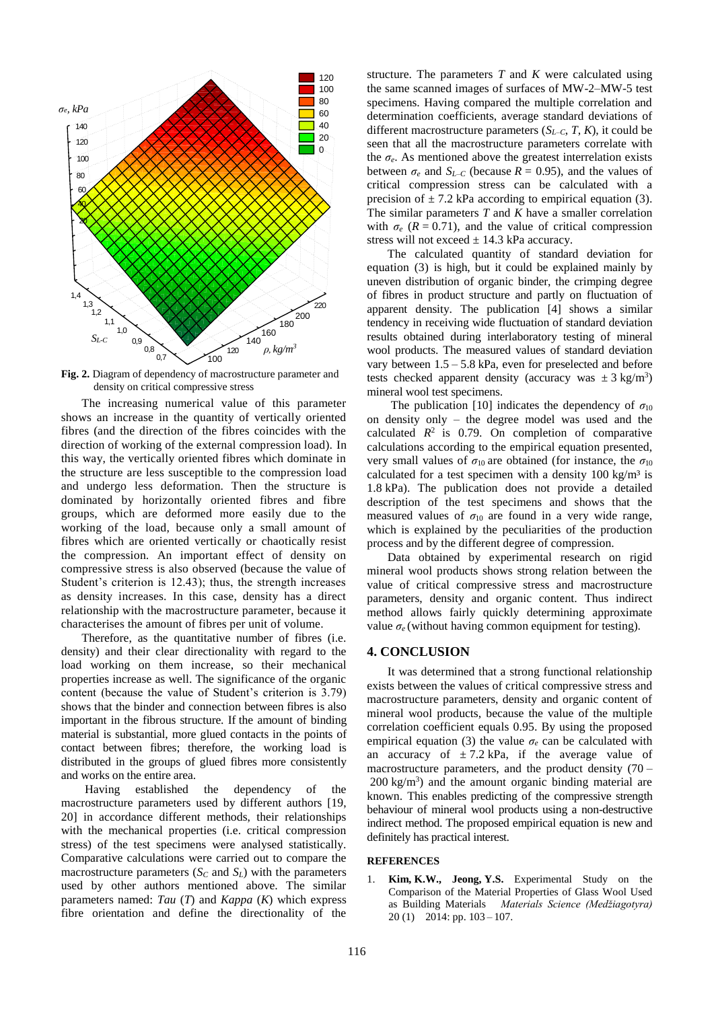

**Fig. 2.** Diagram of dependency of macrostructure parameter and density on critical compressive stress

The increasing numerical value of this parameter shows an increase in the quantity of vertically oriented fibres (and the direction of the fibres coincides with the direction of working of the external compression load). In this way, the vertically oriented fibres which dominate in the structure are less susceptible to the compression load and undergo less deformation. Then the structure is dominated by horizontally oriented fibres and fibre groups, which are deformed more easily due to the working of the load, because only a small amount of fibres which are oriented vertically or chaotically resist the compression. An important effect of density on compressive stress is also observed (because the value of Student's criterion is 12.43); thus, the strength increases as density increases. In this case, density has a direct relationship with the macrostructure parameter, because it characterises the amount of fibres per unit of volume.

Therefore, as the quantitative number of fibres (i.e. density) and their clear directionality with regard to the load working on them increase, so their mechanical properties increase as well. The significance of the organic content (because the value of Student's criterion is 3.79) shows that the binder and connection between fibres is also important in the fibrous structure. If the amount of binding material is substantial, more glued contacts in the points of contact between fibres; therefore, the working load is distributed in the groups of glued fibres more consistently and works on the entire area.

Having established the dependency of the macrostructure parameters used by different authors [19, 20] in accordance different methods, their relationships with the mechanical properties (i.e. critical compression stress) of the test specimens were analysed statistically. Comparative calculations were carried out to compare the macrostructure parameters  $(S_C \text{ and } S_L)$  with the parameters used by other authors mentioned above. The similar parameters named: *Tau* (*T*) and *Kappa* (*K*) which express fibre orientation and define the directionality of the structure. The parameters *T* and *K* were calculated using the same scanned images of surfaces of MW-2–MW-5 test specimens. Having compared the multiple correlation and determination coefficients, average standard deviations of different macrostructure parameters  $(S_{L-C}, T, K)$ , it could be seen that all the macrostructure parameters correlate with the  $\sigma_e$ . As mentioned above the greatest interrelation exists between  $\sigma_e$  and  $S_{L-C}$  (because  $R = 0.95$ ), and the values of critical compression stress can be calculated with a precision of  $\pm$  7.2 kPa according to empirical equation (3). The similar parameters *T* and *K* have a smaller correlation with  $\sigma_e$  ( $R = 0.71$ ), and the value of critical compression stress will not exceed  $\pm$  14.3 kPa accuracy.

The calculated quantity of standard deviation for equation (3) is high, but it could be explained mainly by uneven distribution of organic binder, the crimping degree of fibres in product structure and partly on fluctuation of apparent density. The publication [4] shows a similar tendency in receiving wide fluctuation of standard deviation results obtained during interlaboratory testing of mineral wool products. The measured values of standard deviation vary between  $1.5 - 5.8$  kPa, even for preselected and before tests checked apparent density (accuracy was  $\pm 3$  kg/m<sup>3</sup>) mineral wool test specimens.

The publication [10] indicates the dependency of  $\sigma_{10}$ on density only – the degree model was used and the calculated  $R^2$  is 0.79. On completion of comparative calculations according to the empirical equation presented, very small values of  $\sigma_{10}$  are obtained (for instance, the  $\sigma_{10}$ calculated for a test specimen with a density  $100 \text{ kg/m}^3$  is 1.8 kPa). The publication does not provide a detailed description of the test specimens and shows that the measured values of  $\sigma_{10}$  are found in a very wide range, which is explained by the peculiarities of the production process and by the different degree of compression.

Data obtained by experimental research on rigid mineral wool products shows strong relation between the value of critical compressive stress and macrostructure parameters, density and organic content. Thus indirect method allows fairly quickly determining approximate value  $\sigma_e$  (without having common equipment for testing).

#### **4. CONCLUSION**

It was determined that a strong functional relationship exists between the values of critical compressive stress and macrostructure parameters, density and organic content of mineral wool products, because the value of the multiple correlation coefficient equals 0.95. By using the proposed empirical equation (3) the value  $\sigma_e$  can be calculated with an accuracy of  $\pm$  7.2 kPa, if the average value of macrostructure parameters, and the product density  $(70 200 \text{ kg/m}^3$ ) and the amount organic binding material are known. This enables predicting of the compressive strength behaviour of mineral wool products using a non-destructive indirect method. The proposed empirical equation is new and definitely has practical interest.

#### **REFERENCES**

1. **Kim, K.W., Jeong, Y.S.** Experimental Study on the Comparison of the Material Properties of Glass Wool Used as Building Materials *Materials Science (Medžiagotyra)* 20 (1) 2014: pp. 103 – 107.